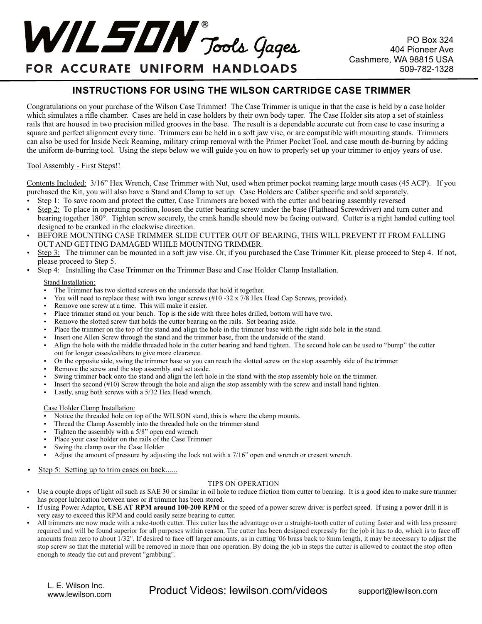# WIL SON Tools Gages

## FOR ACCURATE UNIFORM HANDLOADS

### **INSTRUCTIONS FOR USING THE WILSON CARTRIDGE CASE TRIMMER**

Congratulations on your purchase of the Wilson Case Trimmer! The Case Trimmer is unique in that the case is held by a case holder which simulates a rifle chamber. Cases are held in case holders by their own body taper. The Case Holder sits atop a set of stainless rails that are housed in two precision milled grooves in the base. The result is a dependable accurate cut from case to case insuring a square and perfect alignment every time. Trimmers can be held in a soft jaw vise, or are compatible with mounting stands. Trimmers can also be used for Inside Neck Reaming, military crimp removal with the Primer Pocket Tool, and case mouth de-burring by adding the uniform de-burring tool. Using the steps below we will guide you on how to properly set up your trimmer to enjoy years of use.

#### Tool Assembly - First Steps!!

Contents Included: 3/16" Hex Wrench, Case Trimmer with Nut, used when primer pocket reaming large mouth cases (45 ACP). If you purchased the Kit, you will also have a Stand and Clamp to set up. Case Holders are Caliber specific and sold separately.

- Step 1: To save room and protect the cutter, Case Trimmers are boxed with the cutter and bearing assembly reversed
- Step 2: To place in operating position, loosen the cutter bearing screw under the base (Flathead Screwdriver) and turn cutter and bearing together 180°. Tighten screw securely, the crank handle should now be facing outward. Cutter is a right handed cutting tool designed to be cranked in the clockwise direction.
- BEFORE MOUNTING CASE TRIMMER SLIDE CUTTER OUT OF BEARING, THIS WILL PREVENT IT FROM FALLING OUT AND GETTING DAMAGED WHILE MOUNTING TRIMMER.
- Step 3: The trimmer can be mounted in a soft jaw vise. Or, if you purchased the Case Trimmer Kit, please proceed to Step 4. If not, please proceed to Step 5.
- Step 4: Installing the Case Trimmer on the Trimmer Base and Case Holder Clamp Installation.

#### Stand Installation:

- The Trimmer has two slotted screws on the underside that hold it together.
- You will need to replace these with two longer screws  $(\#10 32 \times 7/8)$  Hex Head Cap Screws, provided).
- Remove one screw at a time. This will make it easier.
- Place trimmer stand on your bench. Top is the side with three holes drilled, bottom will have two.
- Remove the slotted screw that holds the cutter bearing on the rails. Set bearing aside.
- Place the trimmer on the top of the stand and align the hole in the trimmer base with the right side hole in the stand.
- Insert one Allen Screw through the stand and the trimmer base, from the underside of the stand.
- Align the hole with the middle threaded hole in the cutter bearing and hand tighten. The second hole can be used to "bump" the cutter out for longer cases/calibers to give more clearance.
- On the opposite side, swing the trimmer base so you can reach the slotted screw on the stop assembly side of the trimmer.
- Remove the screw and the stop assembly and set aside.
- Swing trimmer back onto the stand and align the left hole in the stand with the stop assembly hole on the trimmer.
- Insert the second  $(\#10)$  Screw through the hole and align the stop assembly with the screw and install hand tighten.
- Lastly, snug both screws with a 5/32 Hex Head wrench.

#### Case Holder Clamp Installation:

- Notice the threaded hole on top of the WILSON stand, this is where the clamp mounts.
- Thread the Clamp Assembly into the threaded hole on the trimmer stand
- Tighten the assembly with a  $5/8$ " open end wrench
- Place your case holder on the rails of the Case Trimmer
- Swing the clamp over the Case Holder
- Adjust the amount of pressure by adjusting the lock nut with a 7/16" open end wrench or cresent wrench.
- Step 5: Setting up to trim cases on back......

#### TIPS ON OPERATION

- Use a couple drops of light oil such as SAE 30 or similar in oil hole to reduce friction from cutter to bearing. It is a good idea to make sure trimmer has proper lubrication between uses or if trimmer has been stored.
- If using Power Adaptor, USE AT RPM around 100-200 RPM or the speed of a power screw driver is perfect speed. If using a power drill it is very easy to exceed this RPM and could easily seize bearing to cutter.
- All trimmers are now made with a rake-tooth cutter. This cutter has the advantage over a straight-tooth cutter of cutting faster and with less pressure required and will be found superior for all purposes within reason. The cutter has been designed expressly for the job it has to do, which is to face off amounts from zero to about 1/32". If desired to face off larger amounts, as in cutting '06 brass back to 8mm length, it may be necessary to adjust the stop screw so that the material will be removed in more than one operation. By doing the job in steps the cutter is allowed to contact the stop often enough to steady the cut and prevent "grabbing".